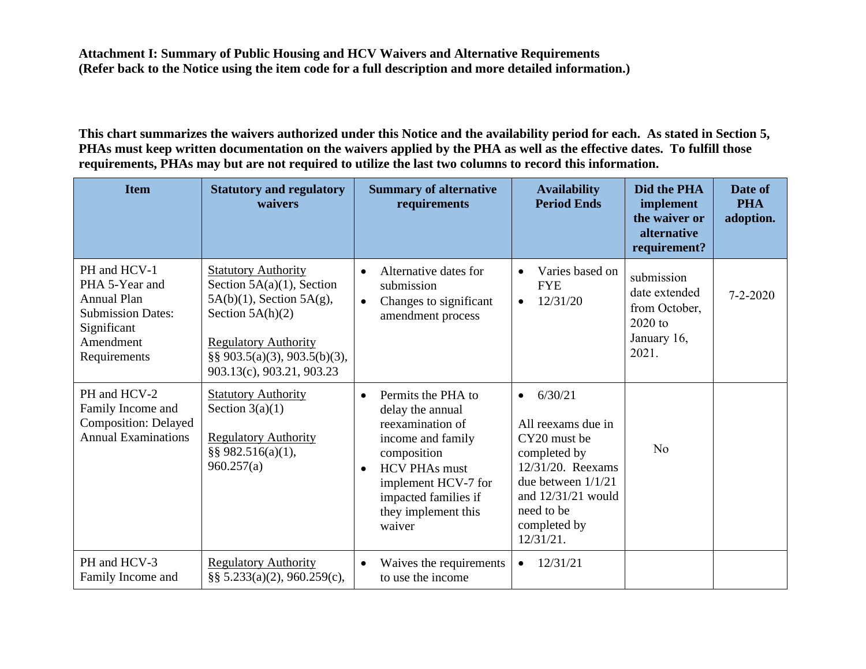**This chart summarizes the waivers authorized under this Notice and the availability period for each. As stated in Section 5, PHAs must keep written documentation on the waivers applied by the PHA as well as the effective dates. To fulfill those requirements, PHAs may but are not required to utilize the last two columns to record this information.** 

| <b>Item</b>                                                                                                                  | <b>Statutory and regulatory</b><br>waivers                                                                                                                                                                         | <b>Summary of alternative</b><br>requirements                                                                                                                                                                                    | <b>Availability</b><br><b>Period Ends</b>                                                                                                                                                     | Did the PHA<br>implement<br>the waiver or<br>alternative<br>requirement?          | Date of<br><b>PHA</b><br>adoption. |
|------------------------------------------------------------------------------------------------------------------------------|--------------------------------------------------------------------------------------------------------------------------------------------------------------------------------------------------------------------|----------------------------------------------------------------------------------------------------------------------------------------------------------------------------------------------------------------------------------|-----------------------------------------------------------------------------------------------------------------------------------------------------------------------------------------------|-----------------------------------------------------------------------------------|------------------------------------|
| PH and HCV-1<br>PHA 5-Year and<br><b>Annual Plan</b><br><b>Submission Dates:</b><br>Significant<br>Amendment<br>Requirements | <b>Statutory Authority</b><br>Section $5A(a)(1)$ , Section<br>$5A(b)(1)$ , Section $5A(g)$ ,<br>Section $5A(h)(2)$<br><b>Regulatory Authority</b><br>$\S\S 903.5(a)(3), 903.5(b)(3),$<br>903.13(c), 903.21, 903.23 | Alternative dates for<br>$\bullet$<br>submission<br>Changes to significant<br>$\bullet$<br>amendment process                                                                                                                     | Varies based on<br><b>FYE</b><br>12/31/20<br>$\bullet$                                                                                                                                        | submission<br>date extended<br>from October,<br>$2020$ to<br>January 16,<br>2021. | $7 - 2 - 2020$                     |
| PH and HCV-2<br>Family Income and<br><b>Composition: Delayed</b><br><b>Annual Examinations</b>                               | <b>Statutory Authority</b><br>Section $3(a)(1)$<br><b>Regulatory Authority</b><br>§§ 982.516(a)(1),<br>960.257(a)                                                                                                  | Permits the PHA to<br>$\bullet$<br>delay the annual<br>reexamination of<br>income and family<br>composition<br><b>HCV PHAs must</b><br>$\bullet$<br>implement HCV-7 for<br>impacted families if<br>they implement this<br>waiver | 6/30/21<br>$\bullet$<br>All reexams due in<br>CY20 must be<br>completed by<br>$12/31/20$ . Reexams<br>due between $1/1/21$<br>and $12/31/21$ would<br>need to be<br>completed by<br>12/31/21. | No                                                                                |                                    |
| PH and HCV-3<br>Family Income and                                                                                            | <b>Regulatory Authority</b><br>§§ $5.233(a)(2)$ , 960.259(c),                                                                                                                                                      | Waives the requirements<br>$\bullet$<br>to use the income                                                                                                                                                                        | 12/31/21<br>$\bullet$                                                                                                                                                                         |                                                                                   |                                    |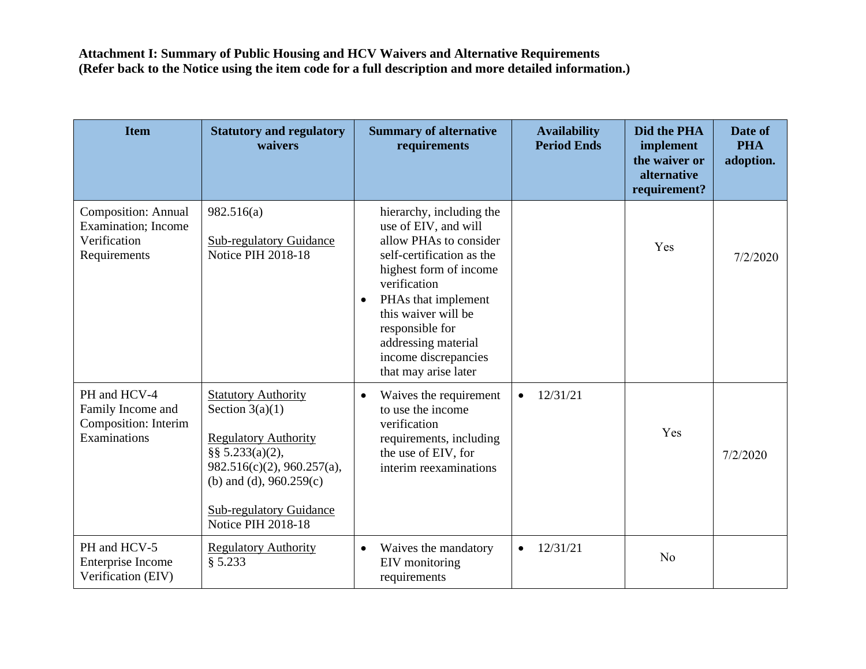| <b>Item</b>                                                                               | <b>Statutory and regulatory</b><br>waivers                                                                                                                                                                                     | <b>Summary of alternative</b><br>requirements                                                                                                                                                                                                                                                          | <b>Availability</b><br><b>Period Ends</b> | Did the PHA<br>implement<br>the waiver or<br>alternative<br>requirement? | Date of<br><b>PHA</b><br>adoption. |
|-------------------------------------------------------------------------------------------|--------------------------------------------------------------------------------------------------------------------------------------------------------------------------------------------------------------------------------|--------------------------------------------------------------------------------------------------------------------------------------------------------------------------------------------------------------------------------------------------------------------------------------------------------|-------------------------------------------|--------------------------------------------------------------------------|------------------------------------|
| <b>Composition: Annual</b><br><b>Examination</b> ; Income<br>Verification<br>Requirements | 982.516(a)<br><b>Sub-regulatory Guidance</b><br>Notice PIH 2018-18                                                                                                                                                             | hierarchy, including the<br>use of EIV, and will<br>allow PHAs to consider<br>self-certification as the<br>highest form of income<br>verification<br>PHAs that implement<br>$\bullet$<br>this waiver will be<br>responsible for<br>addressing material<br>income discrepancies<br>that may arise later |                                           | Yes                                                                      | 7/2/2020                           |
| PH and HCV-4<br>Family Income and<br>Composition: Interim<br>Examinations                 | <b>Statutory Authority</b><br>Section $3(a)(1)$<br><b>Regulatory Authority</b><br>§§ $5.233(a)(2)$ ,<br>982.516(c)(2), 960.257(a),<br>(b) and (d), $960.259(c)$<br><b>Sub-regulatory Guidance</b><br><b>Notice PIH 2018-18</b> | Waives the requirement<br>$\bullet$<br>to use the income<br>verification<br>requirements, including<br>the use of EIV, for<br>interim reexaminations                                                                                                                                                   | 12/31/21                                  | Yes                                                                      | 7/2/2020                           |
| PH and HCV-5<br>Enterprise Income<br>Verification (EIV)                                   | <b>Regulatory Authority</b><br>§ 5.233                                                                                                                                                                                         | Waives the mandatory<br>$\bullet$<br>EIV monitoring<br>requirements                                                                                                                                                                                                                                    | 12/31/21<br>$\bullet$                     | N <sub>o</sub>                                                           |                                    |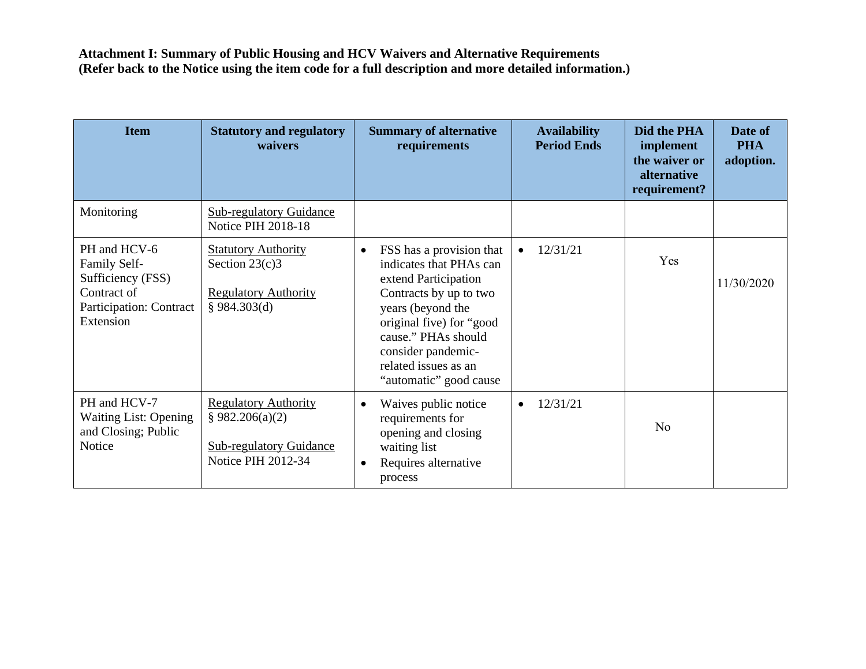| <b>Item</b>                                                                                                     | <b>Statutory and regulatory</b><br>waivers                                                                    | <b>Summary of alternative</b><br>requirements                                                                                                                                                                                                                      | <b>Availability</b><br><b>Period Ends</b> | Did the PHA<br>implement<br>the waiver or<br>alternative<br>requirement? | Date of<br><b>PHA</b><br>adoption. |
|-----------------------------------------------------------------------------------------------------------------|---------------------------------------------------------------------------------------------------------------|--------------------------------------------------------------------------------------------------------------------------------------------------------------------------------------------------------------------------------------------------------------------|-------------------------------------------|--------------------------------------------------------------------------|------------------------------------|
| Monitoring                                                                                                      | <b>Sub-regulatory Guidance</b><br><b>Notice PIH 2018-18</b>                                                   |                                                                                                                                                                                                                                                                    |                                           |                                                                          |                                    |
| PH and HCV-6<br>Family Self-<br>Sufficiency (FSS)<br>Contract of<br><b>Participation: Contract</b><br>Extension | <b>Statutory Authority</b><br>Section $23(c)3$<br><b>Regulatory Authority</b><br>§ 984.303(d)                 | FSS has a provision that<br>$\bullet$<br>indicates that PHAs can<br>extend Participation<br>Contracts by up to two<br>years (beyond the<br>original five) for "good<br>cause." PHAs should<br>consider pandemic-<br>related issues as an<br>"automatic" good cause | 12/31/21                                  | Yes                                                                      | 11/30/2020                         |
| PH and HCV-7<br><b>Waiting List: Opening</b><br>and Closing; Public<br>Notice                                   | <b>Regulatory Authority</b><br>§ 982.206(a)(2)<br><b>Sub-regulatory Guidance</b><br><b>Notice PIH 2012-34</b> | Waives public notice<br>$\bullet$<br>requirements for<br>opening and closing<br>waiting list<br>Requires alternative<br>$\bullet$<br>process                                                                                                                       | 12/31/21                                  | N <sub>o</sub>                                                           |                                    |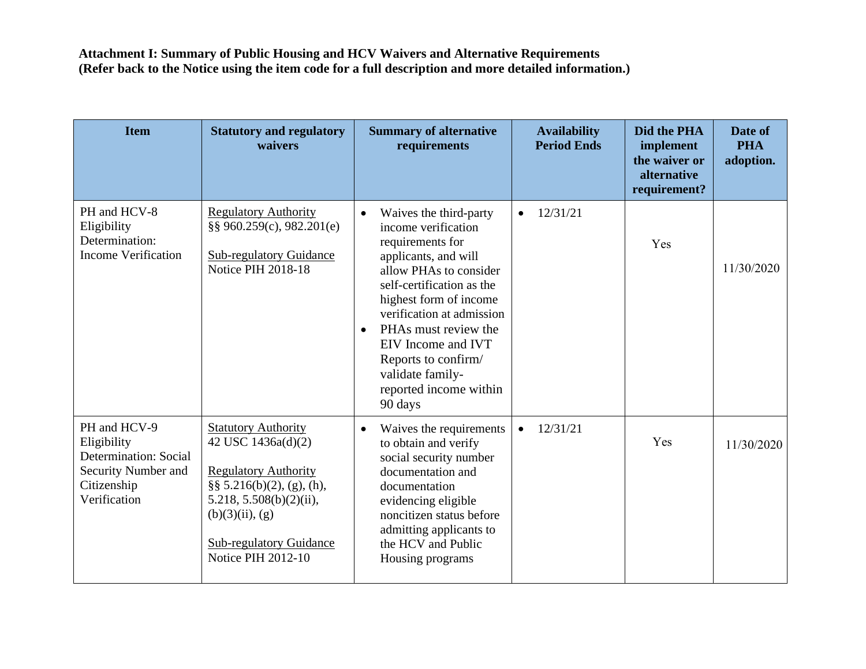| <b>Item</b>                                                                                                | <b>Statutory and regulatory</b><br>waivers                                                                                                                                                                                             | <b>Summary of alternative</b><br>requirements                                                                                                                                                                                                                                                                                                                   | <b>Availability</b><br><b>Period Ends</b> | Did the PHA<br>implement<br>the waiver or<br>alternative<br>requirement? | Date of<br><b>PHA</b><br>adoption. |
|------------------------------------------------------------------------------------------------------------|----------------------------------------------------------------------------------------------------------------------------------------------------------------------------------------------------------------------------------------|-----------------------------------------------------------------------------------------------------------------------------------------------------------------------------------------------------------------------------------------------------------------------------------------------------------------------------------------------------------------|-------------------------------------------|--------------------------------------------------------------------------|------------------------------------|
| PH and HCV-8<br>Eligibility<br>Determination:<br><b>Income Verification</b>                                | <b>Regulatory Authority</b><br>§§ 960.259(c), 982.201(e)<br><b>Sub-regulatory Guidance</b><br>Notice PIH 2018-18                                                                                                                       | Waives the third-party<br>$\bullet$<br>income verification<br>requirements for<br>applicants, and will<br>allow PHAs to consider<br>self-certification as the<br>highest form of income<br>verification at admission<br>PHAs must review the<br>$\bullet$<br>EIV Income and IVT<br>Reports to confirm/<br>validate family-<br>reported income within<br>90 days | 12/31/21<br>$\bullet$                     | Yes                                                                      | 11/30/2020                         |
| PH and HCV-9<br>Eligibility<br>Determination: Social<br>Security Number and<br>Citizenship<br>Verification | <b>Statutory Authority</b><br>42 USC 1436a(d)(2)<br><b>Regulatory Authority</b><br>$\S\S 5.216(b)(2)$ , (g), (h),<br>$5.218, 5.508(b)(2)(ii)$ ,<br>$(b)(3)(ii)$ , $(g)$<br><b>Sub-regulatory Guidance</b><br><b>Notice PIH 2012-10</b> | Waives the requirements<br>$\bullet$<br>to obtain and verify<br>social security number<br>documentation and<br>documentation<br>evidencing eligible<br>noncitizen status before<br>admitting applicants to<br>the HCV and Public<br>Housing programs                                                                                                            | 12/31/21<br>$\bullet$                     | Yes                                                                      | 11/30/2020                         |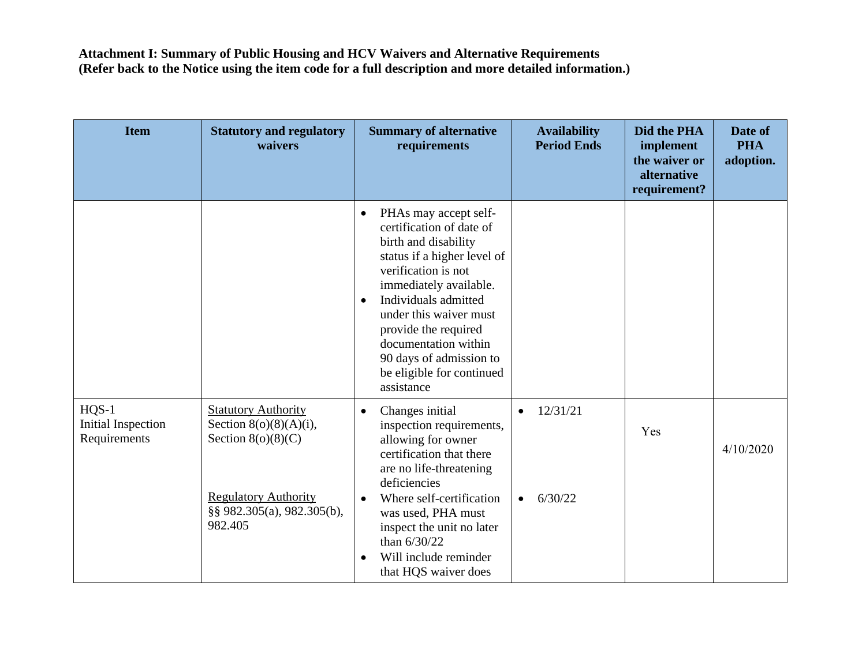| <b>Item</b>                                          | <b>Statutory and regulatory</b><br>waivers                                                                                                              | <b>Summary of alternative</b><br>requirements                                                                                                                                                                                                                                                                                                               | <b>Availability</b><br><b>Period Ends</b>     | Did the PHA<br>implement<br>the waiver or<br>alternative<br>requirement? | Date of<br><b>PHA</b><br>adoption. |
|------------------------------------------------------|---------------------------------------------------------------------------------------------------------------------------------------------------------|-------------------------------------------------------------------------------------------------------------------------------------------------------------------------------------------------------------------------------------------------------------------------------------------------------------------------------------------------------------|-----------------------------------------------|--------------------------------------------------------------------------|------------------------------------|
|                                                      |                                                                                                                                                         | PHAs may accept self-<br>$\bullet$<br>certification of date of<br>birth and disability<br>status if a higher level of<br>verification is not<br>immediately available.<br>Individuals admitted<br>$\bullet$<br>under this waiver must<br>provide the required<br>documentation within<br>90 days of admission to<br>be eligible for continued<br>assistance |                                               |                                                                          |                                    |
| $HQS-1$<br><b>Initial Inspection</b><br>Requirements | <b>Statutory Authority</b><br>Section $8(o)(8)(A)(i)$ ,<br>Section $8(0)(8)(C)$<br><b>Regulatory Authority</b><br>§§ 982.305(a), 982.305(b),<br>982.405 | Changes initial<br>$\bullet$<br>inspection requirements,<br>allowing for owner<br>certification that there<br>are no life-threatening<br>deficiencies<br>Where self-certification<br>$\bullet$<br>was used, PHA must<br>inspect the unit no later<br>than 6/30/22<br>Will include reminder<br>$\bullet$<br>that HQS waiver does                             | 12/31/21<br>$\bullet$<br>6/30/22<br>$\bullet$ | Yes                                                                      | 4/10/2020                          |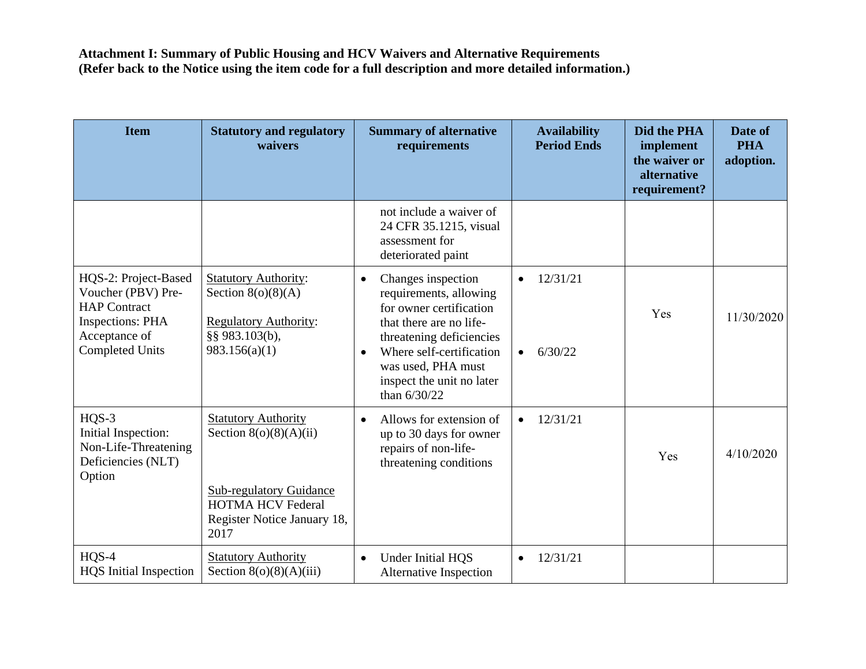| <b>Item</b>                                                                                                                             | <b>Statutory and regulatory</b><br>waivers                                                                                                                  | <b>Summary of alternative</b><br>requirements                                                                                                                                                                                                             | <b>Availability</b><br><b>Period Ends</b>     | Did the PHA<br>implement<br>the waiver or<br>alternative<br>requirement? | Date of<br><b>PHA</b><br>adoption. |
|-----------------------------------------------------------------------------------------------------------------------------------------|-------------------------------------------------------------------------------------------------------------------------------------------------------------|-----------------------------------------------------------------------------------------------------------------------------------------------------------------------------------------------------------------------------------------------------------|-----------------------------------------------|--------------------------------------------------------------------------|------------------------------------|
|                                                                                                                                         |                                                                                                                                                             | not include a waiver of<br>24 CFR 35.1215, visual<br>assessment for<br>deteriorated paint                                                                                                                                                                 |                                               |                                                                          |                                    |
| HQS-2: Project-Based<br>Voucher (PBV) Pre-<br><b>HAP</b> Contract<br><b>Inspections: PHA</b><br>Acceptance of<br><b>Completed Units</b> | <b>Statutory Authority:</b><br>Section $8(o)(8)(A)$<br><b>Regulatory Authority:</b><br>§§ 983.103(b),<br>983.156(a)(1)                                      | Changes inspection<br>$\bullet$<br>requirements, allowing<br>for owner certification<br>that there are no life-<br>threatening deficiencies<br>Where self-certification<br>$\bullet$<br>was used, PHA must<br>inspect the unit no later<br>than $6/30/22$ | 12/31/21<br>$\bullet$<br>6/30/22<br>$\bullet$ | Yes                                                                      | 11/30/2020                         |
| $HQS-3$<br>Initial Inspection:<br>Non-Life-Threatening<br>Deficiencies (NLT)<br>Option                                                  | <b>Statutory Authority</b><br>Section $8(o)(8)(A)(ii)$<br><b>Sub-regulatory Guidance</b><br><b>HOTMA HCV Federal</b><br>Register Notice January 18,<br>2017 | Allows for extension of<br>$\bullet$<br>up to 30 days for owner<br>repairs of non-life-<br>threatening conditions                                                                                                                                         | 12/31/21                                      | Yes                                                                      | 4/10/2020                          |
| $HQS-4$<br><b>HQS</b> Initial Inspection                                                                                                | <b>Statutory Authority</b><br>Section $8(o)(8)(A)(iii)$                                                                                                     | Under Initial HQS<br>$\bullet$<br>Alternative Inspection                                                                                                                                                                                                  | 12/31/21                                      |                                                                          |                                    |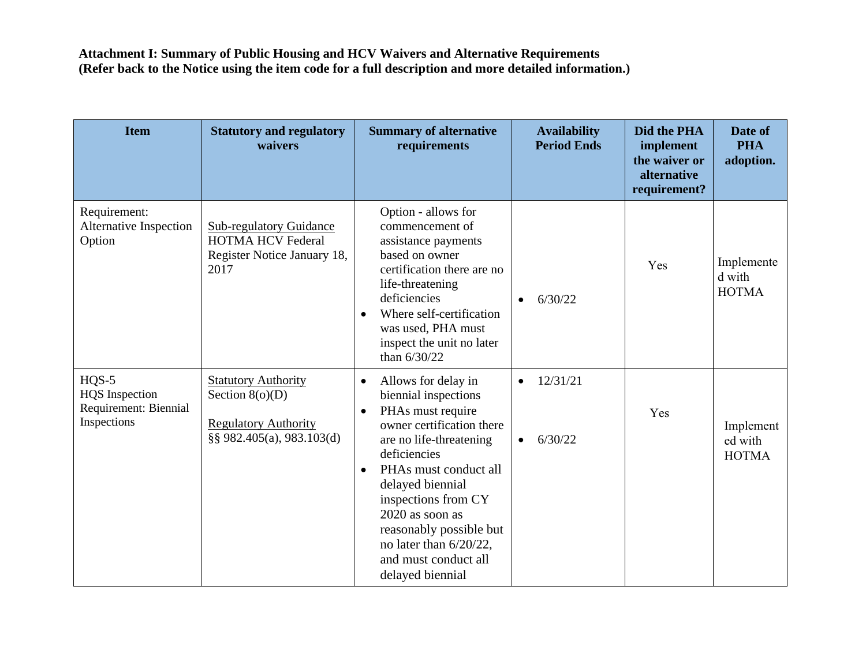| <b>Item</b>                                                              | <b>Statutory and regulatory</b><br>waivers                                                                  | <b>Summary of alternative</b><br>requirements                                                                                                                                                                                                                                                                                                                              | <b>Availability</b><br><b>Period Ends</b> | Did the PHA<br>implement<br>the waiver or<br>alternative<br>requirement? | Date of<br><b>PHA</b><br>adoption.   |
|--------------------------------------------------------------------------|-------------------------------------------------------------------------------------------------------------|----------------------------------------------------------------------------------------------------------------------------------------------------------------------------------------------------------------------------------------------------------------------------------------------------------------------------------------------------------------------------|-------------------------------------------|--------------------------------------------------------------------------|--------------------------------------|
| Requirement:<br><b>Alternative Inspection</b><br>Option                  | <b>Sub-regulatory Guidance</b><br><b>HOTMA HCV Federal</b><br>Register Notice January 18,<br>2017           | Option - allows for<br>commencement of<br>assistance payments<br>based on owner<br>certification there are no<br>life-threatening<br>deficiencies<br>Where self-certification<br>$\bullet$<br>was used, PHA must<br>inspect the unit no later<br>than 6/30/22                                                                                                              | 6/30/22                                   | Yes                                                                      | Implemente<br>d with<br><b>HOTMA</b> |
| $HQS-5$<br><b>HQS</b> Inspection<br>Requirement: Biennial<br>Inspections | <b>Statutory Authority</b><br>Section $8(o)(D)$<br><b>Regulatory Authority</b><br>§§ 982.405(a), 983.103(d) | Allows for delay in<br>$\bullet$<br>biennial inspections<br>PHAs must require<br>$\bullet$<br>owner certification there<br>are no life-threatening<br>deficiencies<br>PHAs must conduct all<br>$\bullet$<br>delayed biennial<br>inspections from CY<br>2020 as soon as<br>reasonably possible but<br>no later than $6/20/22$ ,<br>and must conduct all<br>delayed biennial | 12/31/21<br>6/30/22<br>$\bullet$          | Yes                                                                      | Implement<br>ed with<br><b>HOTMA</b> |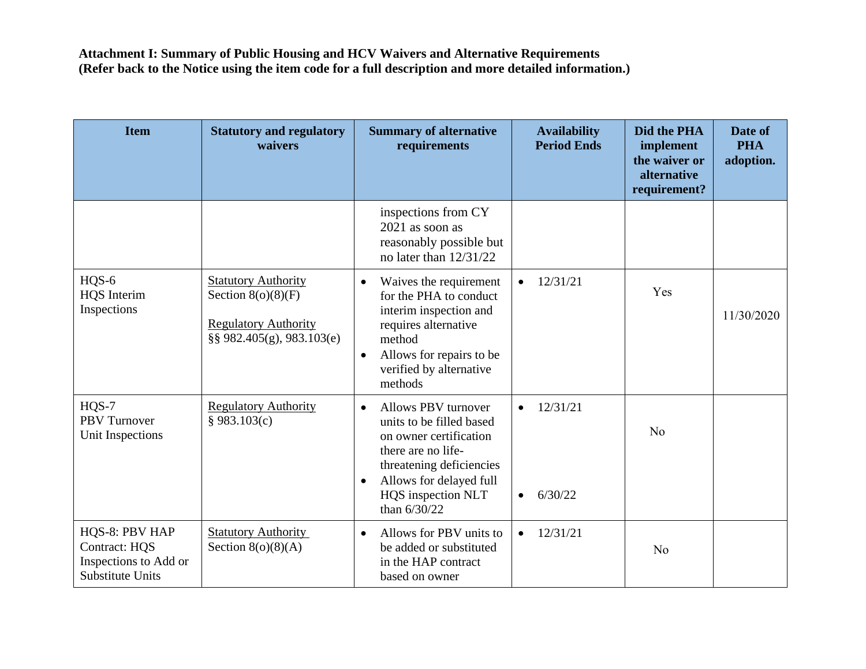| <b>Item</b>                                                                                | <b>Statutory and regulatory</b><br>waivers                                                                     | <b>Summary of alternative</b><br>requirements                                                                                                                                                                          | <b>Availability</b><br><b>Period Ends</b>     | Did the PHA<br>implement<br>the waiver or<br>alternative<br>requirement? | Date of<br><b>PHA</b><br>adoption. |
|--------------------------------------------------------------------------------------------|----------------------------------------------------------------------------------------------------------------|------------------------------------------------------------------------------------------------------------------------------------------------------------------------------------------------------------------------|-----------------------------------------------|--------------------------------------------------------------------------|------------------------------------|
|                                                                                            |                                                                                                                | inspections from CY<br>$2021$ as soon as<br>reasonably possible but<br>no later than $12/31/22$                                                                                                                        |                                               |                                                                          |                                    |
| HQS-6<br><b>HQS</b> Interim<br>Inspections                                                 | <b>Statutory Authority</b><br>Section $8(o)(8)(F)$<br><b>Regulatory Authority</b><br>§§ 982.405(g), 983.103(e) | Waives the requirement<br>$\bullet$<br>for the PHA to conduct<br>interim inspection and<br>requires alternative<br>method<br>Allows for repairs to be<br>$\bullet$<br>verified by alternative<br>methods               | 12/31/21<br>$\bullet$                         | Yes                                                                      | 11/30/2020                         |
| $HQS-7$<br><b>PBV</b> Turnover<br>Unit Inspections                                         | <b>Regulatory Authority</b><br>§ 983.103(c)                                                                    | Allows PBV turnover<br>$\bullet$<br>units to be filled based<br>on owner certification<br>there are no life-<br>threatening deficiencies<br>Allows for delayed full<br>$\bullet$<br>HQS inspection NLT<br>than 6/30/22 | 12/31/21<br>$\bullet$<br>6/30/22<br>$\bullet$ | No                                                                       |                                    |
| HQS-8: PBV HAP<br><b>Contract: HQS</b><br>Inspections to Add or<br><b>Substitute Units</b> | <b>Statutory Authority</b><br>Section $8(o)(8)(A)$                                                             | Allows for PBV units to<br>$\bullet$<br>be added or substituted<br>in the HAP contract<br>based on owner                                                                                                               | 12/31/21                                      | N <sub>o</sub>                                                           |                                    |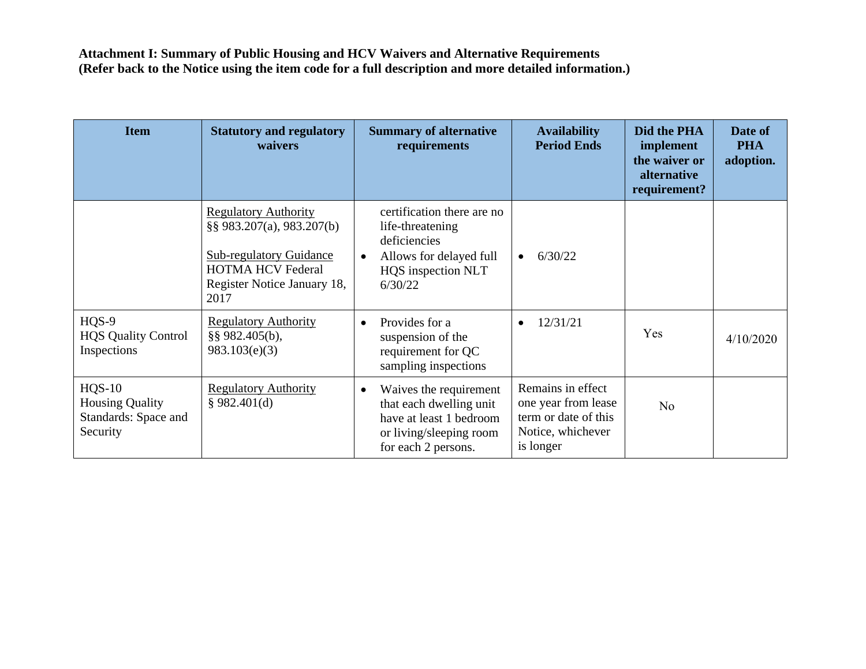| <b>Item</b>                                                            | <b>Statutory and regulatory</b><br>waivers                                                                                                                    | <b>Summary of alternative</b><br>requirements                                                                                               | <b>Availability</b><br><b>Period Ends</b>                                                          | Did the PHA<br>implement<br>the waiver or<br>alternative<br>requirement? | Date of<br><b>PHA</b><br>adoption. |
|------------------------------------------------------------------------|---------------------------------------------------------------------------------------------------------------------------------------------------------------|---------------------------------------------------------------------------------------------------------------------------------------------|----------------------------------------------------------------------------------------------------|--------------------------------------------------------------------------|------------------------------------|
|                                                                        | <b>Regulatory Authority</b><br>§§ 983.207(a), 983.207(b)<br><b>Sub-regulatory Guidance</b><br><b>HOTMA HCV Federal</b><br>Register Notice January 18,<br>2017 | certification there are no<br>life-threatening<br>deficiencies<br>Allows for delayed full<br>$\bullet$<br>HQS inspection NLT<br>6/30/22     | 6/30/22<br>$\bullet$                                                                               |                                                                          |                                    |
| HQS-9<br><b>HQS Quality Control</b><br>Inspections                     | <b>Regulatory Authority</b><br>§§ 982.405(b),<br>983.103(e)(3)                                                                                                | Provides for a<br>$\bullet$<br>suspension of the<br>requirement for QC<br>sampling inspections                                              | 12/31/21<br>$\bullet$                                                                              | Yes                                                                      | 4/10/2020                          |
| $HQS-10$<br><b>Housing Quality</b><br>Standards: Space and<br>Security | <b>Regulatory Authority</b><br>§ 982.401(d)                                                                                                                   | Waives the requirement<br>$\bullet$<br>that each dwelling unit<br>have at least 1 bedroom<br>or living/sleeping room<br>for each 2 persons. | Remains in effect<br>one year from lease<br>term or date of this<br>Notice, whichever<br>is longer | N <sub>o</sub>                                                           |                                    |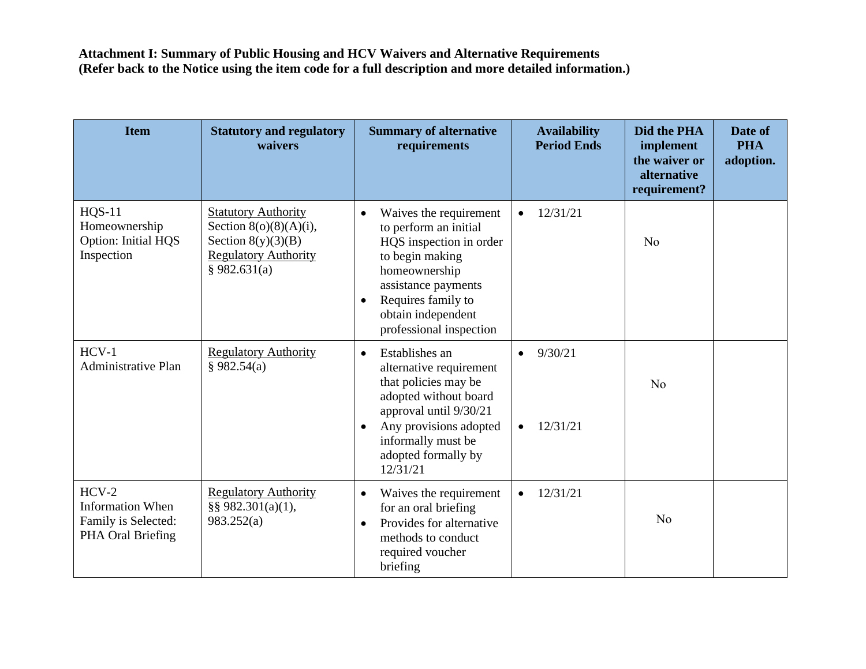| <b>Item</b>                                                                    | <b>Statutory and regulatory</b><br>waivers                                                                                     | <b>Summary of alternative</b><br>requirements                                                                                                                                                                                          | <b>Availability</b><br><b>Period Ends</b>     | Did the PHA<br>implement<br>the waiver or<br>alternative<br>requirement? | Date of<br><b>PHA</b><br>adoption. |
|--------------------------------------------------------------------------------|--------------------------------------------------------------------------------------------------------------------------------|----------------------------------------------------------------------------------------------------------------------------------------------------------------------------------------------------------------------------------------|-----------------------------------------------|--------------------------------------------------------------------------|------------------------------------|
| <b>HQS-11</b><br>Homeownership<br>Option: Initial HQS<br>Inspection            | <b>Statutory Authority</b><br>Section $8(0)(8)(A)(i)$ ,<br>Section $8(y)(3)(B)$<br><b>Regulatory Authority</b><br>§ 982.631(a) | Waives the requirement<br>$\bullet$<br>to perform an initial<br>HQS inspection in order<br>to begin making<br>homeownership<br>assistance payments<br>Requires family to<br>$\bullet$<br>obtain independent<br>professional inspection | 12/31/21<br>$\bullet$                         | N <sub>o</sub>                                                           |                                    |
| $HCV-1$<br><b>Administrative Plan</b>                                          | <b>Regulatory Authority</b><br>§ 982.54(a)                                                                                     | Establishes an<br>$\bullet$<br>alternative requirement<br>that policies may be<br>adopted without board<br>approval until 9/30/21<br>Any provisions adopted<br>$\bullet$<br>informally must be<br>adopted formally by<br>12/31/21      | 9/30/21<br>$\bullet$<br>12/31/21<br>$\bullet$ | No                                                                       |                                    |
| $HCV-2$<br><b>Information When</b><br>Family is Selected:<br>PHA Oral Briefing | <b>Regulatory Authority</b><br>§§ 982.301(a)(1),<br>983.252(a)                                                                 | Waives the requirement<br>$\bullet$<br>for an oral briefing<br>Provides for alternative<br>$\bullet$<br>methods to conduct<br>required voucher<br>briefing                                                                             | 12/31/21<br>$\bullet$                         | N <sub>o</sub>                                                           |                                    |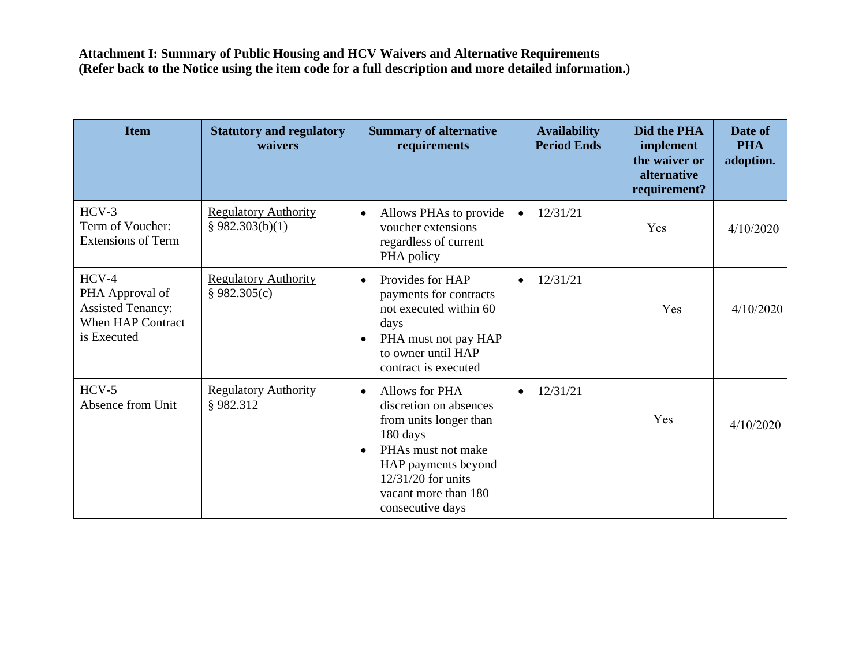| <b>Item</b>                                                                                       | <b>Statutory and regulatory</b><br>waivers     | <b>Summary of alternative</b><br>requirements                                                                                                                                                                           | <b>Availability</b><br><b>Period Ends</b> | Did the PHA<br>implement<br>the waiver or<br>alternative<br>requirement? | Date of<br><b>PHA</b><br>adoption. |
|---------------------------------------------------------------------------------------------------|------------------------------------------------|-------------------------------------------------------------------------------------------------------------------------------------------------------------------------------------------------------------------------|-------------------------------------------|--------------------------------------------------------------------------|------------------------------------|
| $HCV-3$<br>Term of Voucher:<br><b>Extensions of Term</b>                                          | <b>Regulatory Authority</b><br>§ 982.303(b)(1) | Allows PHAs to provide<br>$\bullet$<br>voucher extensions<br>regardless of current<br>PHA policy                                                                                                                        | 12/31/21                                  | Yes                                                                      | 4/10/2020                          |
| $HCV-4$<br>PHA Approval of<br><b>Assisted Tenancy:</b><br><b>When HAP Contract</b><br>is Executed | <b>Regulatory Authority</b><br>§ 982.305(c)    | Provides for HAP<br>$\bullet$<br>payments for contracts<br>not executed within 60<br>days<br>PHA must not pay HAP<br>$\bullet$<br>to owner until HAP<br>contract is executed                                            | 12/31/21<br>$\bullet$                     | Yes                                                                      | 4/10/2020                          |
| $HCV-5$<br>Absence from Unit                                                                      | <b>Regulatory Authority</b><br>§982.312        | Allows for PHA<br>$\bullet$<br>discretion on absences<br>from units longer than<br>180 days<br>PHAs must not make<br>$\bullet$<br>HAP payments beyond<br>12/31/20 for units<br>vacant more than 180<br>consecutive days | 12/31/21<br>$\bullet$                     | Yes                                                                      | 4/10/2020                          |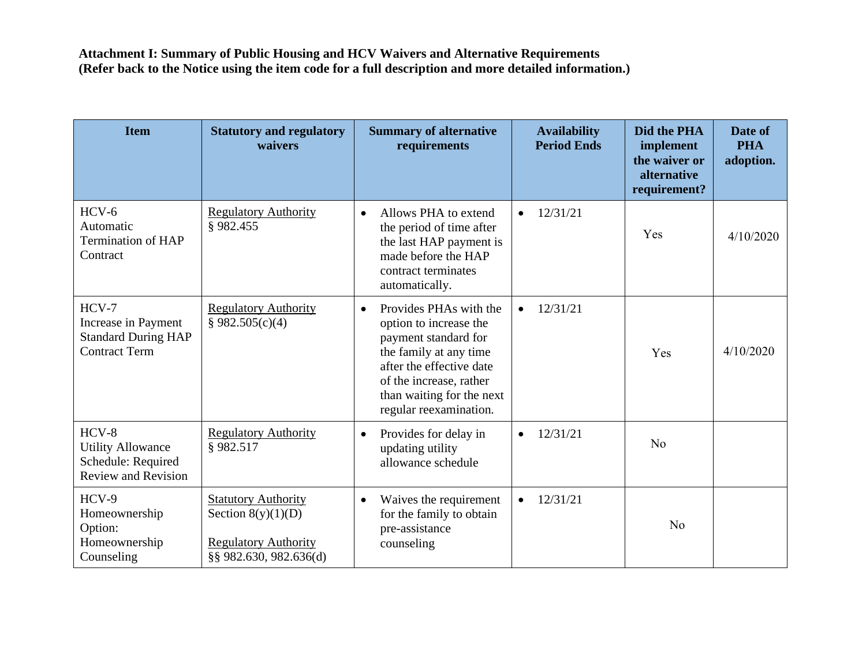| <b>Item</b>                                                                             | <b>Statutory and regulatory</b><br>waivers                                                                  | <b>Summary of alternative</b><br>requirements                                                                                                                                                                                 | <b>Availability</b><br><b>Period Ends</b> | Did the PHA<br>implement<br>the waiver or<br>alternative<br>requirement? | Date of<br><b>PHA</b><br>adoption. |
|-----------------------------------------------------------------------------------------|-------------------------------------------------------------------------------------------------------------|-------------------------------------------------------------------------------------------------------------------------------------------------------------------------------------------------------------------------------|-------------------------------------------|--------------------------------------------------------------------------|------------------------------------|
| $HCV-6$<br>Automatic<br><b>Termination of HAP</b><br>Contract                           | <b>Regulatory Authority</b><br>§982.455                                                                     | Allows PHA to extend<br>$\bullet$<br>the period of time after<br>the last HAP payment is<br>made before the HAP<br>contract terminates<br>automatically.                                                                      | 12/31/21<br>$\bullet$                     | Yes                                                                      | 4/10/2020                          |
| $HCV-7$<br>Increase in Payment<br><b>Standard During HAP</b><br><b>Contract Term</b>    | <b>Regulatory Authority</b><br>§ 982.505(c)(4)                                                              | Provides PHAs with the<br>$\bullet$<br>option to increase the<br>payment standard for<br>the family at any time<br>after the effective date<br>of the increase, rather<br>than waiting for the next<br>regular reexamination. | 12/31/21<br>$\bullet$                     | Yes                                                                      | 4/10/2020                          |
| $HCV-8$<br><b>Utility Allowance</b><br>Schedule: Required<br><b>Review and Revision</b> | <b>Regulatory Authority</b><br>§982.517                                                                     | Provides for delay in<br>$\bullet$<br>updating utility<br>allowance schedule                                                                                                                                                  | 12/31/21<br>$\bullet$                     | N <sub>o</sub>                                                           |                                    |
| $HCV-9$<br>Homeownership<br>Option:<br>Homeownership<br>Counseling                      | <b>Statutory Authority</b><br>Section $8(y)(1)(D)$<br><b>Regulatory Authority</b><br>§§ 982.630, 982.636(d) | Waives the requirement<br>$\bullet$<br>for the family to obtain<br>pre-assistance<br>counseling                                                                                                                               | 12/31/21<br>$\bullet$                     | N <sub>o</sub>                                                           |                                    |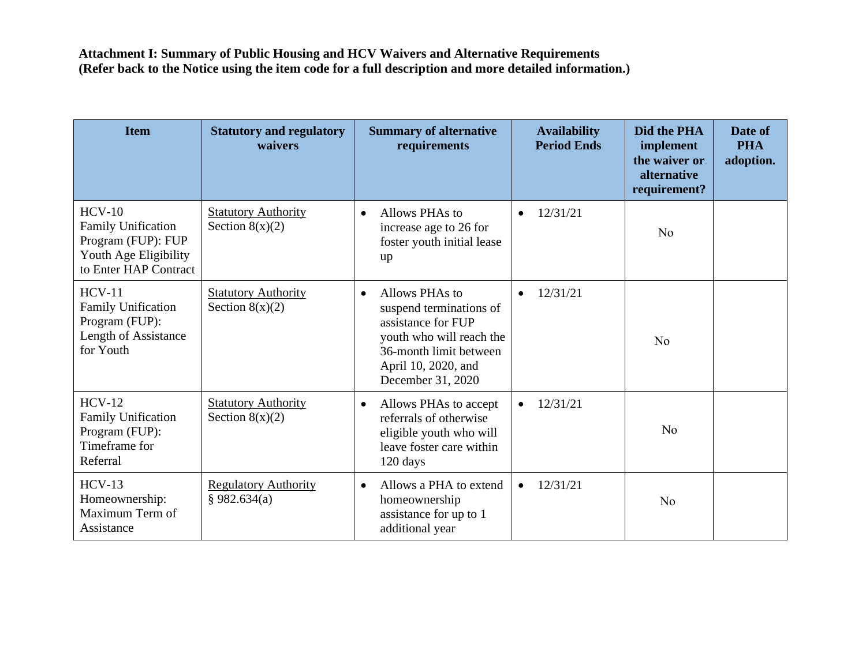| <b>Item</b>                                                                                                   | <b>Statutory and regulatory</b><br>waivers      | <b>Summary of alternative</b><br>requirements                                                                                                                                  | <b>Availability</b><br><b>Period Ends</b> | Did the PHA<br>implement<br>the waiver or<br>alternative<br>requirement? | Date of<br><b>PHA</b><br>adoption. |
|---------------------------------------------------------------------------------------------------------------|-------------------------------------------------|--------------------------------------------------------------------------------------------------------------------------------------------------------------------------------|-------------------------------------------|--------------------------------------------------------------------------|------------------------------------|
| $HCV-10$<br><b>Family Unification</b><br>Program (FUP): FUP<br>Youth Age Eligibility<br>to Enter HAP Contract | <b>Statutory Authority</b><br>Section $8(x)(2)$ | Allows PHAs to<br>$\bullet$<br>increase age to 26 for<br>foster youth initial lease<br>up                                                                                      | 12/31/21<br>$\bullet$                     | N <sub>o</sub>                                                           |                                    |
| $HCV-11$<br><b>Family Unification</b><br>Program (FUP):<br>Length of Assistance<br>for Youth                  | <b>Statutory Authority</b><br>Section $8(x)(2)$ | Allows PHAs to<br>$\bullet$<br>suspend terminations of<br>assistance for FUP<br>youth who will reach the<br>36-month limit between<br>April 10, 2020, and<br>December 31, 2020 | 12/31/21<br>$\bullet$                     | N <sub>o</sub>                                                           |                                    |
| $HCV-12$<br><b>Family Unification</b><br>Program (FUP):<br>Timeframe for<br>Referral                          | <b>Statutory Authority</b><br>Section $8(x)(2)$ | Allows PHAs to accept<br>$\bullet$<br>referrals of otherwise<br>eligible youth who will<br>leave foster care within<br>120 days                                                | 12/31/21<br>$\bullet$                     | N <sub>0</sub>                                                           |                                    |
| $HCV-13$<br>Homeownership:<br>Maximum Term of<br>Assistance                                                   | <b>Regulatory Authority</b><br>§ 982.634(a)     | Allows a PHA to extend<br>$\bullet$<br>homeownership<br>assistance for up to 1<br>additional year                                                                              | 12/31/21                                  | N <sub>o</sub>                                                           |                                    |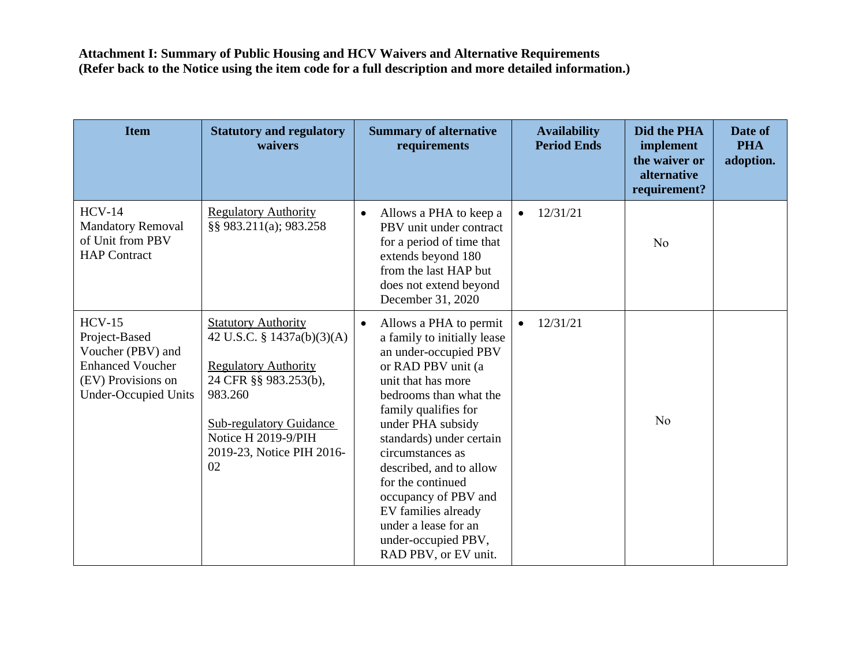| <b>Item</b>                                                                                                                    | <b>Statutory and regulatory</b><br>waivers                                                                                                                                                                              | <b>Summary of alternative</b><br>requirements                                                                                                                                                                                                                                                                                                                                                                                        | <b>Availability</b><br><b>Period Ends</b> | Did the PHA<br>implement<br>the waiver or<br>alternative<br>requirement? | Date of<br><b>PHA</b><br>adoption. |
|--------------------------------------------------------------------------------------------------------------------------------|-------------------------------------------------------------------------------------------------------------------------------------------------------------------------------------------------------------------------|--------------------------------------------------------------------------------------------------------------------------------------------------------------------------------------------------------------------------------------------------------------------------------------------------------------------------------------------------------------------------------------------------------------------------------------|-------------------------------------------|--------------------------------------------------------------------------|------------------------------------|
| $HCV-14$<br><b>Mandatory Removal</b><br>of Unit from PBV<br><b>HAP</b> Contract                                                | <b>Regulatory Authority</b><br>§§ 983.211(a); 983.258                                                                                                                                                                   | Allows a PHA to keep a<br>$\bullet$<br>PBV unit under contract<br>for a period of time that<br>extends beyond 180<br>from the last HAP but<br>does not extend beyond<br>December 31, 2020                                                                                                                                                                                                                                            | 12/31/21                                  | N <sub>o</sub>                                                           |                                    |
| $HCV-15$<br>Project-Based<br>Voucher (PBV) and<br><b>Enhanced Voucher</b><br>(EV) Provisions on<br><b>Under-Occupied Units</b> | <b>Statutory Authority</b><br>42 U.S.C. § 1437a(b)(3)(A)<br><b>Regulatory Authority</b><br>24 CFR §§ 983.253(b),<br>983.260<br><b>Sub-regulatory Guidance</b><br>Notice H 2019-9/PIH<br>2019-23, Notice PIH 2016-<br>02 | Allows a PHA to permit<br>$\bullet$<br>a family to initially lease<br>an under-occupied PBV<br>or RAD PBV unit (a<br>unit that has more<br>bedrooms than what the<br>family qualifies for<br>under PHA subsidy<br>standards) under certain<br>circumstances as<br>described, and to allow<br>for the continued<br>occupancy of PBV and<br>EV families already<br>under a lease for an<br>under-occupied PBV,<br>RAD PBV, or EV unit. | 12/31/21                                  | N <sub>o</sub>                                                           |                                    |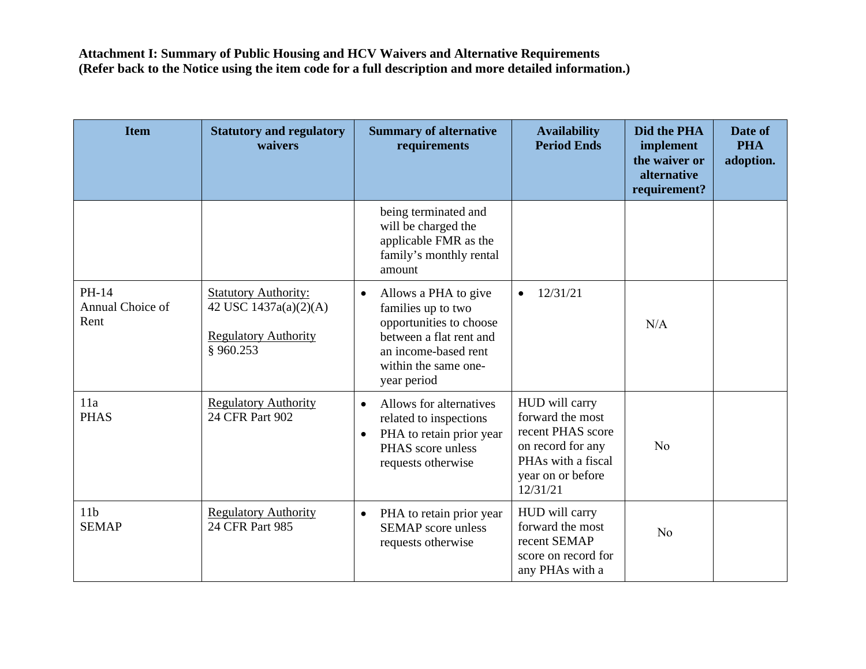| <b>Item</b>                       | <b>Statutory and regulatory</b><br>waivers                                                      | <b>Summary of alternative</b><br>requirements                                                                                                                                | <b>Availability</b><br><b>Period Ends</b>                                                                                           | Did the PHA<br>implement<br>the waiver or<br>alternative<br>requirement? | Date of<br><b>PHA</b><br>adoption. |
|-----------------------------------|-------------------------------------------------------------------------------------------------|------------------------------------------------------------------------------------------------------------------------------------------------------------------------------|-------------------------------------------------------------------------------------------------------------------------------------|--------------------------------------------------------------------------|------------------------------------|
|                                   |                                                                                                 | being terminated and<br>will be charged the<br>applicable FMR as the<br>family's monthly rental<br>amount                                                                    |                                                                                                                                     |                                                                          |                                    |
| PH-14<br>Annual Choice of<br>Rent | <b>Statutory Authority:</b><br>42 USC 1437a(a)(2)(A)<br><b>Regulatory Authority</b><br>§960.253 | Allows a PHA to give<br>$\bullet$<br>families up to two<br>opportunities to choose<br>between a flat rent and<br>an income-based rent<br>within the same one-<br>year period | 12/31/21<br>$\bullet$                                                                                                               | N/A                                                                      |                                    |
| 11a<br><b>PHAS</b>                | <b>Regulatory Authority</b><br>24 CFR Part 902                                                  | Allows for alternatives<br>$\bullet$<br>related to inspections<br>PHA to retain prior year<br>$\bullet$<br>PHAS score unless<br>requests otherwise                           | HUD will carry<br>forward the most<br>recent PHAS score<br>on record for any<br>PHAs with a fiscal<br>year on or before<br>12/31/21 | N <sub>o</sub>                                                           |                                    |
| 11 <sub>b</sub><br><b>SEMAP</b>   | <b>Regulatory Authority</b><br>24 CFR Part 985                                                  | PHA to retain prior year<br>$\bullet$<br><b>SEMAP</b> score unless<br>requests otherwise                                                                                     | HUD will carry<br>forward the most<br>recent SEMAP<br>score on record for<br>any PHAs with a                                        | No                                                                       |                                    |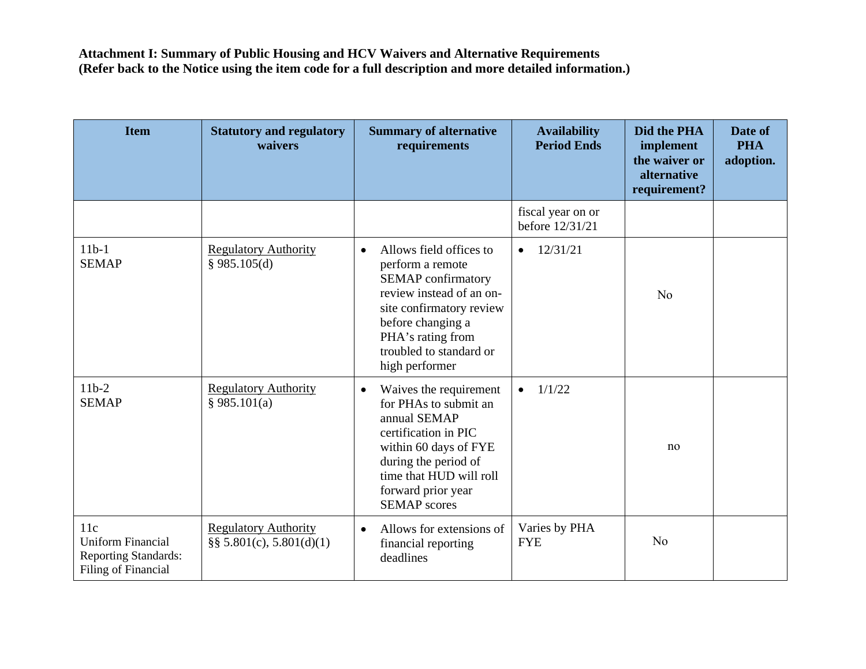| <b>Item</b>                                                                           | <b>Statutory and regulatory</b><br>waivers                  | <b>Summary of alternative</b><br>requirements                                                                                                                                                                                        | <b>Availability</b><br><b>Period Ends</b> | <b>Did the PHA</b><br>implement<br>the waiver or<br>alternative<br>requirement? | Date of<br><b>PHA</b><br>adoption. |
|---------------------------------------------------------------------------------------|-------------------------------------------------------------|--------------------------------------------------------------------------------------------------------------------------------------------------------------------------------------------------------------------------------------|-------------------------------------------|---------------------------------------------------------------------------------|------------------------------------|
|                                                                                       |                                                             |                                                                                                                                                                                                                                      | fiscal year on or<br>before 12/31/21      |                                                                                 |                                    |
| $11b-1$<br><b>SEMAP</b>                                                               | <b>Regulatory Authority</b><br>§ 985.105(d)                 | Allows field offices to<br>$\bullet$<br>perform a remote<br><b>SEMAP</b> confirmatory<br>review instead of an on-<br>site confirmatory review<br>before changing a<br>PHA's rating from<br>troubled to standard or<br>high performer | 12/31/21<br>$\bullet$                     | N <sub>o</sub>                                                                  |                                    |
| $11b-2$<br><b>SEMAP</b>                                                               | <b>Regulatory Authority</b><br>§ 985.101(a)                 | Waives the requirement<br>$\bullet$<br>for PHAs to submit an<br>annual SEMAP<br>certification in PIC<br>within 60 days of FYE<br>during the period of<br>time that HUD will roll<br>forward prior year<br><b>SEMAP</b> scores        | 1/1/22<br>$\bullet$                       | no                                                                              |                                    |
| 11c<br><b>Uniform Financial</b><br><b>Reporting Standards:</b><br>Filing of Financial | <b>Regulatory Authority</b><br>$\S$ § 5.801(c), 5.801(d)(1) | Allows for extensions of<br>$\bullet$<br>financial reporting<br>deadlines                                                                                                                                                            | Varies by PHA<br><b>FYE</b>               | N <sub>o</sub>                                                                  |                                    |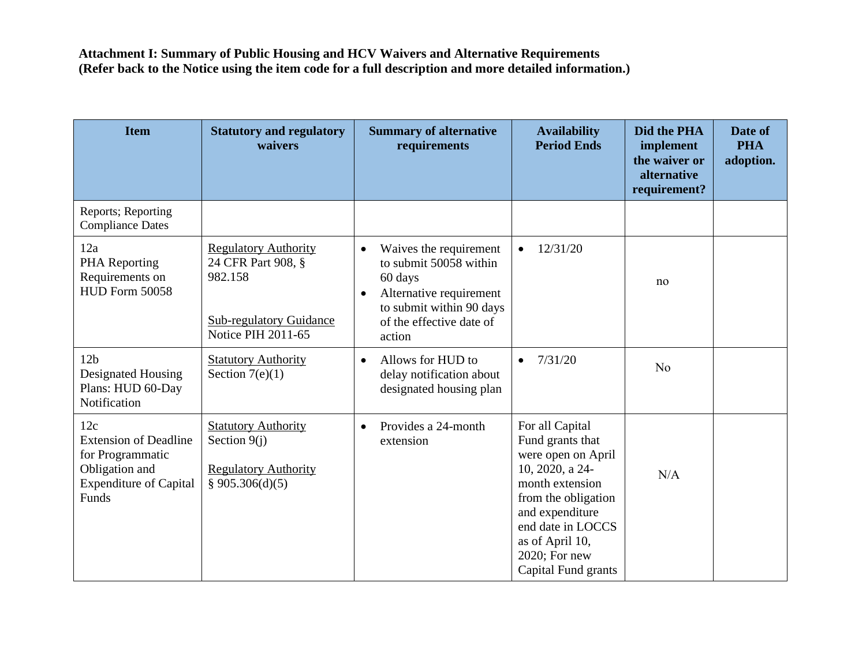| <b>Item</b>                                                                                                         | <b>Statutory and regulatory</b><br>waivers                                                                                  | <b>Summary of alternative</b><br>requirements                                                                                                                                      | <b>Availability</b><br><b>Period Ends</b>                                                                                                                                                                                 | Did the PHA<br>implement<br>the waiver or<br>alternative<br>requirement? | Date of<br><b>PHA</b><br>adoption. |
|---------------------------------------------------------------------------------------------------------------------|-----------------------------------------------------------------------------------------------------------------------------|------------------------------------------------------------------------------------------------------------------------------------------------------------------------------------|---------------------------------------------------------------------------------------------------------------------------------------------------------------------------------------------------------------------------|--------------------------------------------------------------------------|------------------------------------|
| Reports; Reporting<br><b>Compliance Dates</b>                                                                       |                                                                                                                             |                                                                                                                                                                                    |                                                                                                                                                                                                                           |                                                                          |                                    |
| 12a<br><b>PHA</b> Reporting<br>Requirements on<br>HUD Form 50058                                                    | <b>Regulatory Authority</b><br>24 CFR Part 908, §<br>982.158<br><b>Sub-regulatory Guidance</b><br><b>Notice PIH 2011-65</b> | Waives the requirement<br>$\bullet$<br>to submit 50058 within<br>60 days<br>Alternative requirement<br>$\bullet$<br>to submit within 90 days<br>of the effective date of<br>action | 12/31/20                                                                                                                                                                                                                  | no                                                                       |                                    |
| 12 <sub>b</sub><br>Designated Housing<br>Plans: HUD 60-Day<br>Notification                                          | <b>Statutory Authority</b><br>Section $7(e)(1)$                                                                             | Allows for HUD to<br>$\bullet$<br>delay notification about<br>designated housing plan                                                                                              | 7/31/20<br>$\bullet$                                                                                                                                                                                                      | N <sub>o</sub>                                                           |                                    |
| 12c<br><b>Extension of Deadline</b><br>for Programmatic<br>Obligation and<br><b>Expenditure of Capital</b><br>Funds | <b>Statutory Authority</b><br>Section $9(i)$<br><b>Regulatory Authority</b><br>§ 905.306(d)(5)                              | Provides a 24-month<br>$\bullet$<br>extension                                                                                                                                      | For all Capital<br>Fund grants that<br>were open on April<br>10, 2020, a 24-<br>month extension<br>from the obligation<br>and expenditure<br>end date in LOCCS<br>as of April 10,<br>2020; For new<br>Capital Fund grants | N/A                                                                      |                                    |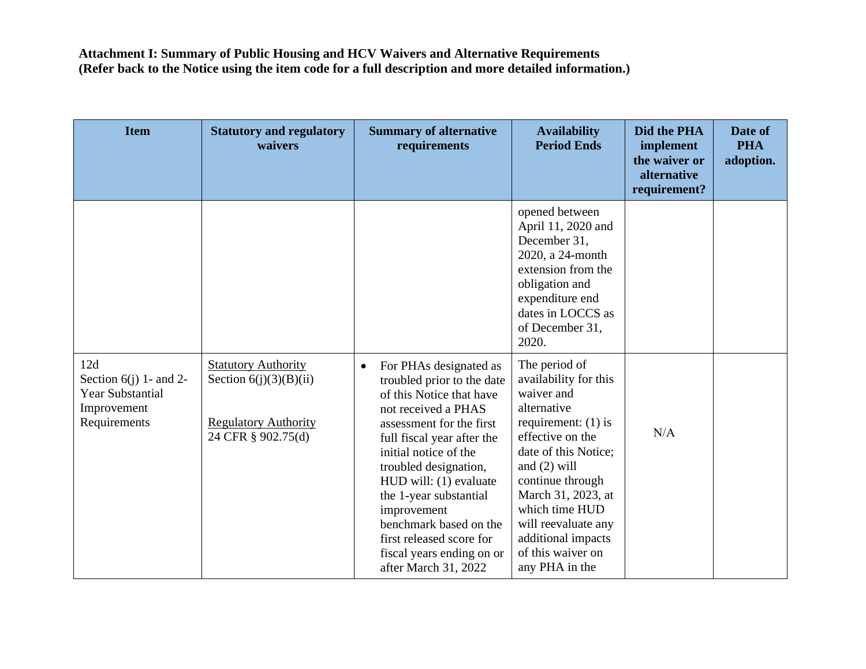| <b>Item</b>                                                                               | <b>Statutory and regulatory</b><br>waivers                                                                  | <b>Summary of alternative</b><br>requirements                                                                                                                                                                                                                                                                                                                                                                  | <b>Availability</b><br><b>Period Ends</b>                                                                                                                                                                                                                                                                  | Did the PHA<br>implement<br>the waiver or<br>alternative<br>requirement? | Date of<br><b>PHA</b><br>adoption. |
|-------------------------------------------------------------------------------------------|-------------------------------------------------------------------------------------------------------------|----------------------------------------------------------------------------------------------------------------------------------------------------------------------------------------------------------------------------------------------------------------------------------------------------------------------------------------------------------------------------------------------------------------|------------------------------------------------------------------------------------------------------------------------------------------------------------------------------------------------------------------------------------------------------------------------------------------------------------|--------------------------------------------------------------------------|------------------------------------|
|                                                                                           |                                                                                                             |                                                                                                                                                                                                                                                                                                                                                                                                                | opened between<br>April 11, 2020 and<br>December 31,<br>2020, a 24-month<br>extension from the<br>obligation and<br>expenditure end<br>dates in LOCCS as<br>of December 31,<br>2020.                                                                                                                       |                                                                          |                                    |
| 12d<br>Section $6(j)$ 1- and 2-<br><b>Year Substantial</b><br>Improvement<br>Requirements | <b>Statutory Authority</b><br>Section $6(j)(3)(B)(ii)$<br><b>Regulatory Authority</b><br>24 CFR § 902.75(d) | For PHAs designated as<br>$\bullet$<br>troubled prior to the date<br>of this Notice that have<br>not received a PHAS<br>assessment for the first<br>full fiscal year after the<br>initial notice of the<br>troubled designation,<br>HUD will: (1) evaluate<br>the 1-year substantial<br>improvement<br>benchmark based on the<br>first released score for<br>fiscal years ending on or<br>after March 31, 2022 | The period of<br>availability for this<br>waiver and<br>alternative<br>requirement: $(1)$ is<br>effective on the<br>date of this Notice;<br>and $(2)$ will<br>continue through<br>March 31, 2023, at<br>which time HUD<br>will reevaluate any<br>additional impacts<br>of this waiver on<br>any PHA in the | N/A                                                                      |                                    |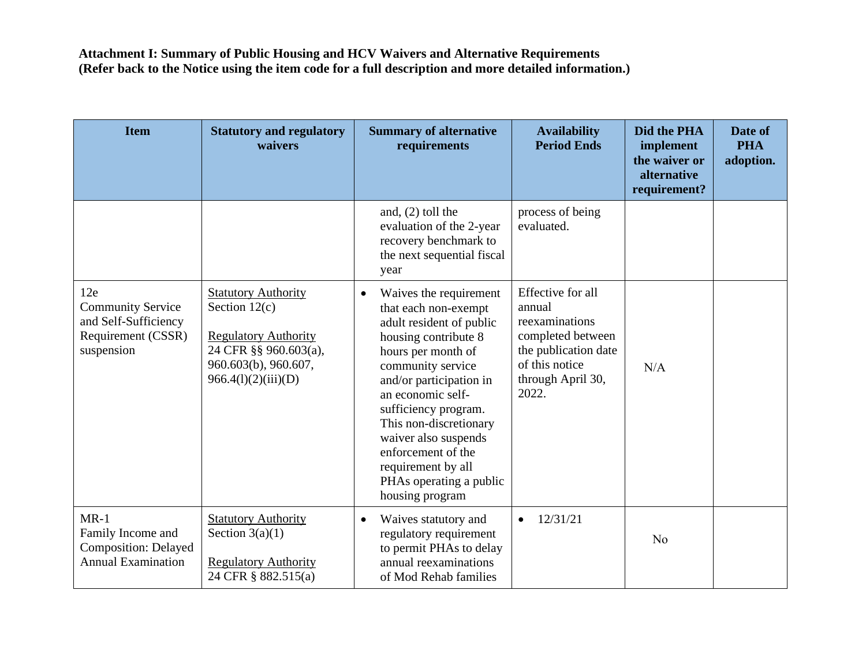| <b>Item</b>                                                                                 | <b>Statutory and regulatory</b><br>waivers                                                                                                           | <b>Summary of alternative</b><br>requirements                                                                                                                                                                                                                                                                                                                                  | <b>Availability</b><br><b>Period Ends</b>                                                                                                  | Did the PHA<br>implement<br>the waiver or<br>alternative<br>requirement? | Date of<br><b>PHA</b><br>adoption. |
|---------------------------------------------------------------------------------------------|------------------------------------------------------------------------------------------------------------------------------------------------------|--------------------------------------------------------------------------------------------------------------------------------------------------------------------------------------------------------------------------------------------------------------------------------------------------------------------------------------------------------------------------------|--------------------------------------------------------------------------------------------------------------------------------------------|--------------------------------------------------------------------------|------------------------------------|
|                                                                                             |                                                                                                                                                      | and, $(2)$ toll the<br>evaluation of the 2-year<br>recovery benchmark to<br>the next sequential fiscal<br>year                                                                                                                                                                                                                                                                 | process of being<br>evaluated.                                                                                                             |                                                                          |                                    |
| 12e<br><b>Community Service</b><br>and Self-Sufficiency<br>Requirement (CSSR)<br>suspension | <b>Statutory Authority</b><br>Section $12(c)$<br><b>Regulatory Authority</b><br>24 CFR §§ 960.603(a),<br>960.603(b), 960.607,<br>966.4(l)(2)(iii)(D) | Waives the requirement<br>$\bullet$<br>that each non-exempt<br>adult resident of public<br>housing contribute 8<br>hours per month of<br>community service<br>and/or participation in<br>an economic self-<br>sufficiency program.<br>This non-discretionary<br>waiver also suspends<br>enforcement of the<br>requirement by all<br>PHAs operating a public<br>housing program | Effective for all<br>annual<br>reexaminations<br>completed between<br>the publication date<br>of this notice<br>through April 30,<br>2022. | N/A                                                                      |                                    |
| $MR-1$<br>Family Income and<br><b>Composition: Delayed</b><br><b>Annual Examination</b>     | <b>Statutory Authority</b><br>Section $3(a)(1)$<br><b>Regulatory Authority</b><br>24 CFR § 882.515(a)                                                | Waives statutory and<br>$\bullet$<br>regulatory requirement<br>to permit PHAs to delay<br>annual reexaminations<br>of Mod Rehab families                                                                                                                                                                                                                                       | 12/31/21<br>$\bullet$                                                                                                                      | N <sub>o</sub>                                                           |                                    |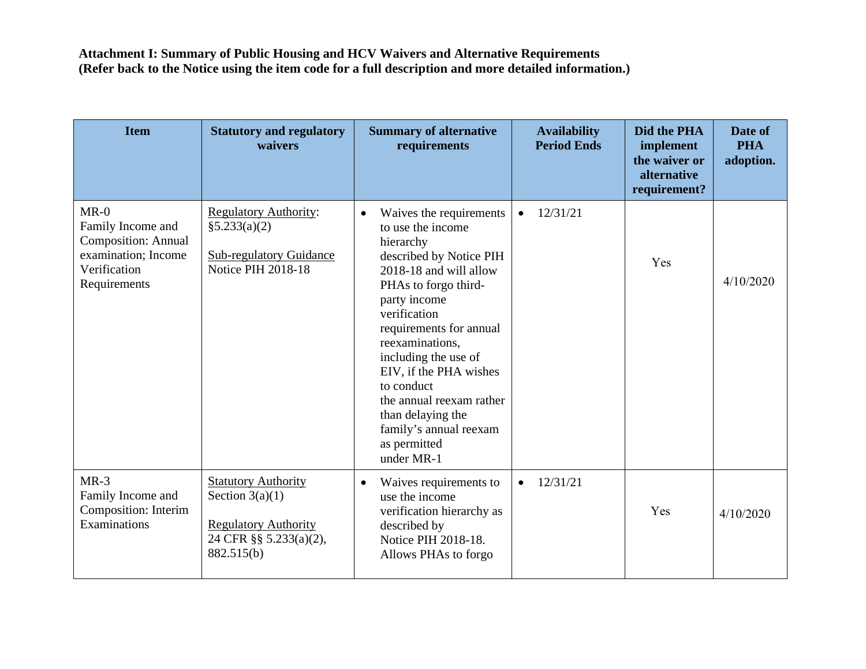| <b>Item</b>                                                                                                      | <b>Statutory and regulatory</b><br>waivers                                                                             | <b>Summary of alternative</b><br>requirements                                                                                                                                                                                                                                                                                                                                                              | <b>Availability</b><br><b>Period Ends</b> | Did the PHA<br>implement<br>the waiver or<br>alternative<br>requirement? | Date of<br><b>PHA</b><br>adoption. |
|------------------------------------------------------------------------------------------------------------------|------------------------------------------------------------------------------------------------------------------------|------------------------------------------------------------------------------------------------------------------------------------------------------------------------------------------------------------------------------------------------------------------------------------------------------------------------------------------------------------------------------------------------------------|-------------------------------------------|--------------------------------------------------------------------------|------------------------------------|
| $MR-0$<br>Family Income and<br><b>Composition: Annual</b><br>examination; Income<br>Verification<br>Requirements | <b>Regulatory Authority:</b><br>§5.233(a)(2)<br><b>Sub-regulatory Guidance</b><br><b>Notice PIH 2018-18</b>            | Waives the requirements<br>$\bullet$<br>to use the income<br>hierarchy<br>described by Notice PIH<br>2018-18 and will allow<br>PHAs to forgo third-<br>party income<br>verification<br>requirements for annual<br>reexaminations.<br>including the use of<br>EIV, if the PHA wishes<br>to conduct<br>the annual reexam rather<br>than delaying the<br>family's annual reexam<br>as permitted<br>under MR-1 | 12/31/21<br>$\bullet$                     | Yes                                                                      | 4/10/2020                          |
| $MR-3$<br>Family Income and<br>Composition: Interim<br>Examinations                                              | <b>Statutory Authority</b><br>Section $3(a)(1)$<br><b>Regulatory Authority</b><br>24 CFR §§ 5.233(a)(2),<br>882.515(b) | Waives requirements to<br>$\bullet$<br>use the income<br>verification hierarchy as<br>described by<br>Notice PIH 2018-18.<br>Allows PHAs to forgo                                                                                                                                                                                                                                                          | 12/31/21<br>$\bullet$                     | Yes                                                                      | 4/10/2020                          |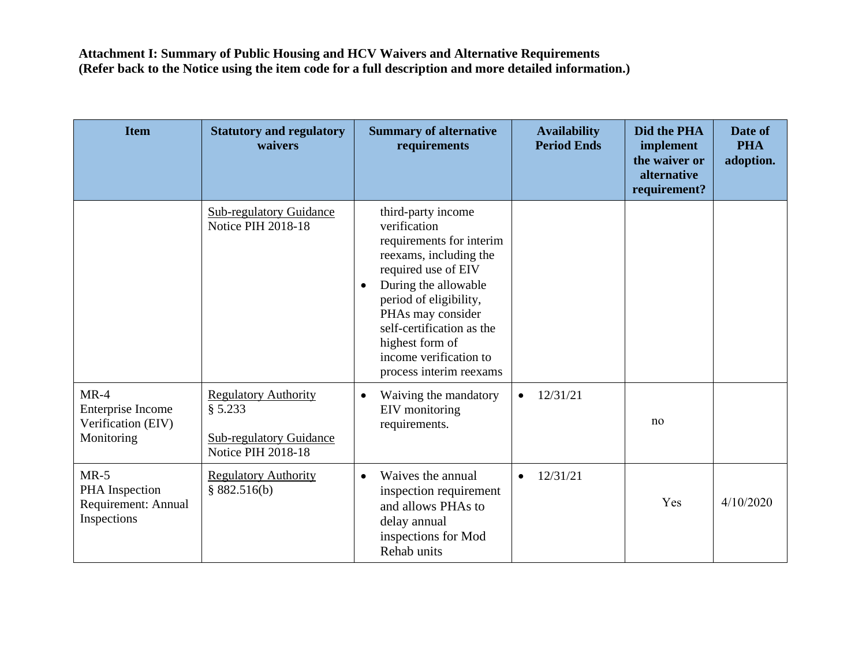| <b>Item</b>                                                     | <b>Statutory and regulatory</b><br>waivers                                                     | <b>Summary of alternative</b><br>requirements                                                                                                                                                                                                                                                            | <b>Availability</b><br><b>Period Ends</b> | Did the PHA<br>implement<br>the waiver or<br>alternative<br>requirement? | Date of<br><b>PHA</b><br>adoption. |
|-----------------------------------------------------------------|------------------------------------------------------------------------------------------------|----------------------------------------------------------------------------------------------------------------------------------------------------------------------------------------------------------------------------------------------------------------------------------------------------------|-------------------------------------------|--------------------------------------------------------------------------|------------------------------------|
|                                                                 | <b>Sub-regulatory Guidance</b><br><b>Notice PIH 2018-18</b>                                    | third-party income<br>verification<br>requirements for interim<br>reexams, including the<br>required use of EIV<br>During the allowable<br>$\bullet$<br>period of eligibility,<br>PHAs may consider<br>self-certification as the<br>highest form of<br>income verification to<br>process interim reexams |                                           |                                                                          |                                    |
| $MR-4$<br>Enterprise Income<br>Verification (EIV)<br>Monitoring | <b>Regulatory Authority</b><br>§ 5.233<br><b>Sub-regulatory Guidance</b><br>Notice PIH 2018-18 | Waiving the mandatory<br>$\bullet$<br>EIV monitoring<br>requirements.                                                                                                                                                                                                                                    | 12/31/21<br>$\bullet$                     | no                                                                       |                                    |
| $MR-5$<br>PHA Inspection<br>Requirement: Annual<br>Inspections  | <b>Regulatory Authority</b><br>§ $882.516(b)$                                                  | Waives the annual<br>$\bullet$<br>inspection requirement<br>and allows PHAs to<br>delay annual<br>inspections for Mod<br>Rehab units                                                                                                                                                                     | 12/31/21<br>$\bullet$                     | Yes                                                                      | 4/10/2020                          |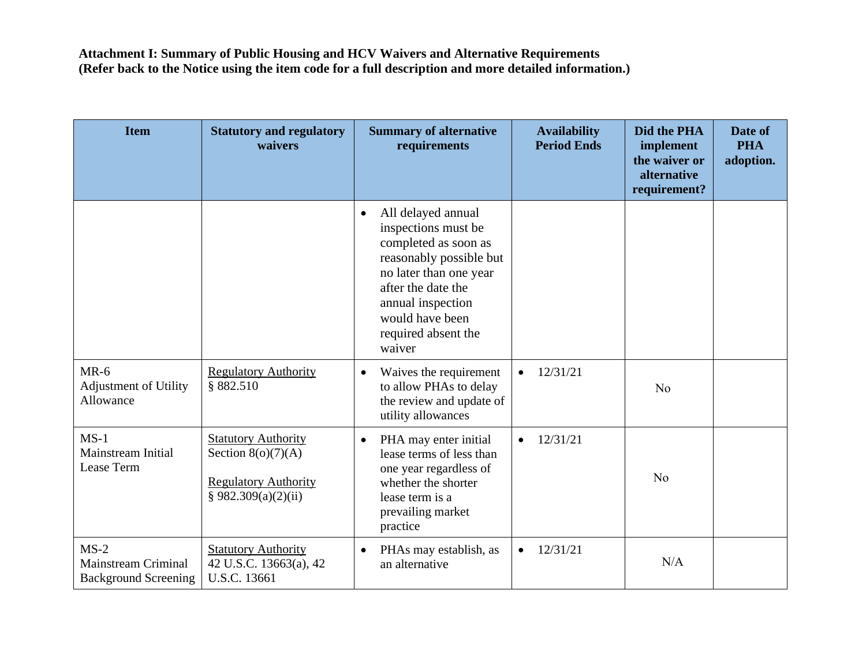| <b>Item</b>                                                         | <b>Statutory and regulatory</b><br>waivers                                                               | <b>Summary of alternative</b><br>requirements                                                                                                                                                                                      | <b>Availability</b><br><b>Period Ends</b> | Did the PHA<br>implement<br>the waiver or<br>alternative<br>requirement? | Date of<br><b>PHA</b><br>adoption. |
|---------------------------------------------------------------------|----------------------------------------------------------------------------------------------------------|------------------------------------------------------------------------------------------------------------------------------------------------------------------------------------------------------------------------------------|-------------------------------------------|--------------------------------------------------------------------------|------------------------------------|
|                                                                     |                                                                                                          | All delayed annual<br>$\bullet$<br>inspections must be<br>completed as soon as<br>reasonably possible but<br>no later than one year<br>after the date the<br>annual inspection<br>would have been<br>required absent the<br>waiver |                                           |                                                                          |                                    |
| $MR-6$<br><b>Adjustment of Utility</b><br>Allowance                 | <b>Regulatory Authority</b><br>§ 882.510                                                                 | Waives the requirement<br>$\bullet$<br>to allow PHAs to delay<br>the review and update of<br>utility allowances                                                                                                                    | 12/31/21<br>$\bullet$                     | N <sub>o</sub>                                                           |                                    |
| $MS-1$<br>Mainstream Initial<br>Lease Term                          | <b>Statutory Authority</b><br>Section $8(o)(7)(A)$<br><b>Regulatory Authority</b><br>§ 982.309(a)(2)(ii) | PHA may enter initial<br>$\bullet$<br>lease terms of less than<br>one year regardless of<br>whether the shorter<br>lease term is a<br>prevailing market<br>practice                                                                | 12/31/21<br>$\bullet$                     | N <sub>o</sub>                                                           |                                    |
| $MS-2$<br><b>Mainstream Criminal</b><br><b>Background Screening</b> | <b>Statutory Authority</b><br>42 U.S.C. 13663(a), 42<br>U.S.C. 13661                                     | PHAs may establish, as<br>$\bullet$<br>an alternative                                                                                                                                                                              | 12/31/21<br>$\bullet$                     | N/A                                                                      |                                    |